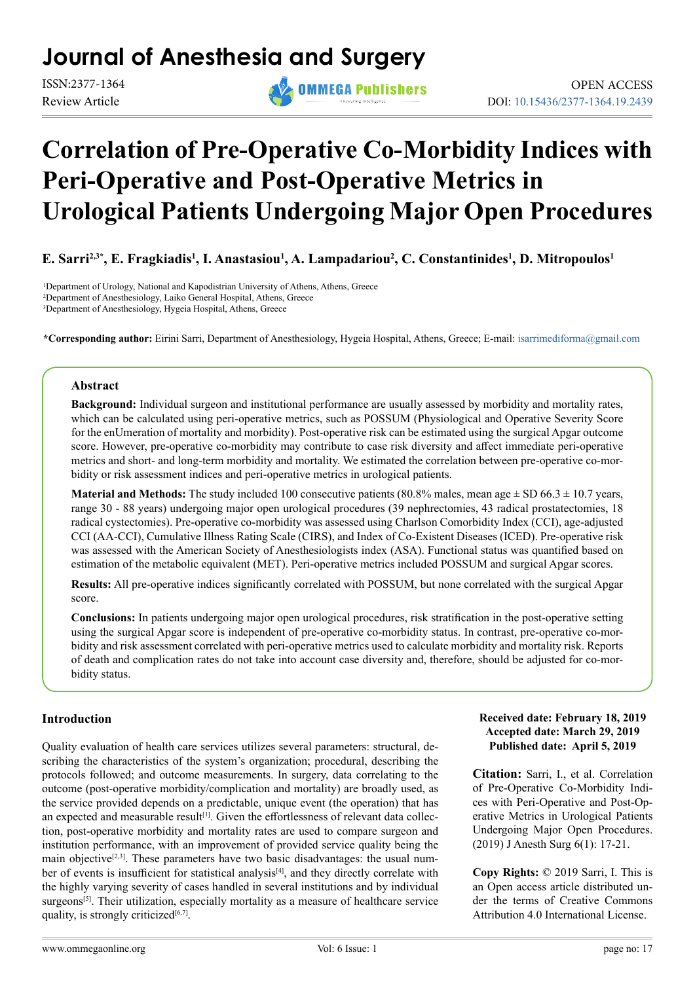## **Journal of Anesthesia and Surgery**

Review Article



# **Correlation of Pre-Operative Co-Morbidity Indices with Peri-Operative and Post-Operative Metrics in Urological Patients Undergoing Major Open Procedures**

**E. Sarri<sup>2,3\*</sup>, E. Fragkiadis<sup>1</sup>, I. Anastasiou<sup>1</sup>, A. Lampadariou<sup>2</sup>, C. Constantinides<sup>1</sup>, D. Mitropoulos<sup>1</sup>** 

<sup>1</sup>Department of Urology, National and Kapodistrian University of Athens, Athens, Greece 2 Department of Anesthesiology, Laiko General Hospital, Athens, Greece 3 Department of Anesthesiology, Hygeia Hospital, Athens, Greece

**\*Corresponding author:** Eirini Sarri, Department of Anesthesiology, Hygeia Hospital, Athens, Greece; E-mail: [isarrimediforma@gmail.com](mailto:isarrimediforma%40gmail.com?subject=)

#### **Abstract**

**Background:** Individual surgeon and institutional performance are usually assessed by morbidity and mortality rates, which can be calculated using peri-operative metrics, such as POSSUM (Physiological and Operative Severity Score for the enUmeration of mortality and morbidity). Post-operative risk can be estimated using the surgical Apgar outcome score. However, pre-operative co-morbidity may contribute to case risk diversity and affect immediate peri-operative metrics and short- and long-term morbidity and mortality. We estimated the correlation between pre-operative co-morbidity or risk assessment indices and peri-operative metrics in urological patients.

**Material and Methods:** The study included 100 consecutive patients (80.8% males, mean age  $\pm$  SD 66.3  $\pm$  10.7 years, range 30 - 88 years) undergoing major open urological procedures (39 nephrectomies, 43 radical prostatectomies, 18 radical cystectomies). Pre-operative co-morbidity was assessed using Charlson Comorbidity Index (CCI), age-adjusted CCI (AA-CCI), Cumulative Illness Rating Scale (CIRS), and Index of Co-Existent Diseases (ICED). Pre-operative risk was assessed with the American Society of Anesthesiologists index (ASA). Functional status was quantified based on estimation of the metabolic equivalent (MET). Peri-operative metrics included POSSUM and surgical Apgar scores.

**Results:** All pre-operative indices significantly correlated with POSSUM, but none correlated with the surgical Apgar score.

**Conclusions:** In patients undergoing major open urological procedures, risk stratification in the post-operative setting using the surgical Apgar score is independent of pre-operative co-morbidity status. In contrast, pre-operative co-morbidity and risk assessment correlated with peri-operative metrics used to calculate morbidity and mortality risk. Reports of death and complication rates do not take into account case diversity and, therefore, should be adjusted for co-morbidity status.

#### **Introduction**

Quality evaluation of health care services utilizes several parameters: structural, describing the characteristics of the system's organization; procedural, describing the protocols followed; and outcome measurements. In surgery, data correlating to the outcome (post-operative morbidity/complication and mortality) are broadly used, as the service provided depends on a predictable, unique event (the operation) that has an expected and measurable result<sup>[1]</sup>. Given the effortlessness of relevant data collection, post-operative morbidity and mortality rates are used to compare surgeon and institution performance, with an improvement of provided service quality being the main objective<sup>[2,3]</sup>. These parameters have two basic disadvantages: the usual num-ber of events is insufficient for statistical analysis<sup>[\[4\]](#page-3-2)</sup>, and they directly correlate with the highly varying severity of cases handled in several institutions and by individual surgeons<sup>[5]</sup>. Their utilization, especially mortality as a measure of healthcare service quality, is strongly criticized $[6,7]$ .

#### **Received date: February 18, 2019 Accepted date: March 29, 2019 Published date: April 5, 2019**

**Citation:** Sarri, I., et al. Correlation of Pre-Operative Co-Morbidity Indices with Peri-Operative and Post-Operative Metrics in Urological Patients Undergoing Major Open Procedures. (2019) J Anesth Surg 6(1): 17-21.

**Copy Rights:** © 2019 Sarri, I. This is an Open access article distributed under the terms of Creative Commons Attribution 4.0 International License.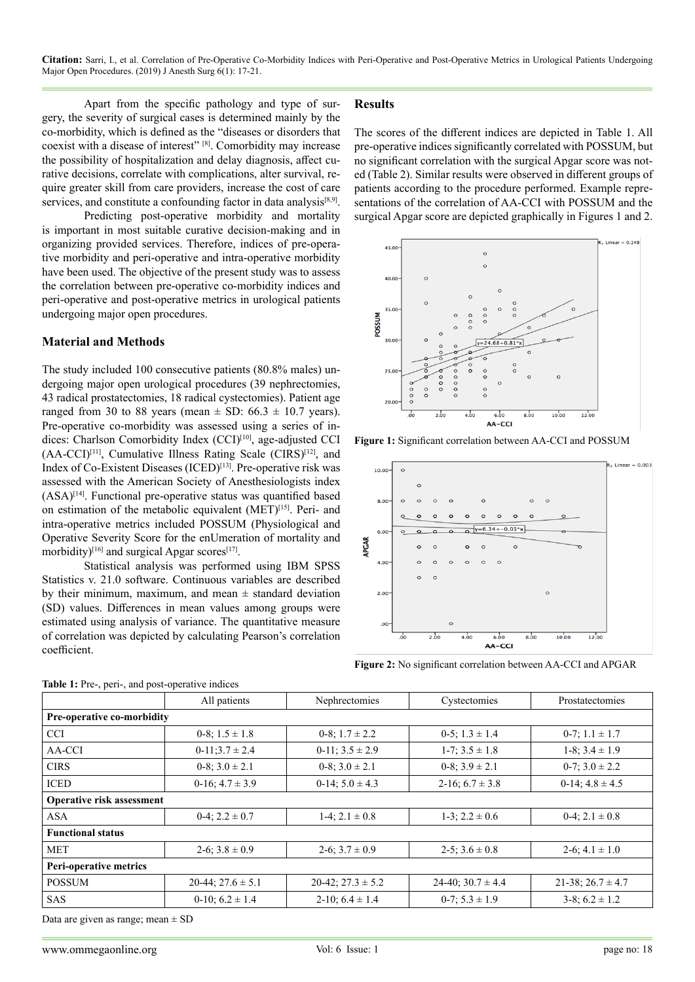**Citation:** Sarri, I., et al. Correlation of Pre-Operative Co-Morbidity Indices with Peri-Operative and Post-Operative Metrics in Urological Patients Undergoing Major Open Procedures. (2019) J Anesth Surg 6(1): 17-21.

Apart from the specific pathology and type of surgery, the severity of surgical cases is determined mainly by the co-morbidity, which is defined as the "diseases or disorders that coexist with a disease of interest" [\[8\]](#page-3-5). Comorbidity may increase the possibility of hospitalization and delay diagnosis, affect curative decisions, correlate with complications, alter survival, require greater skill from care providers, increase the cost of care services, and constitute a confounding factor in data analysis<sup>[\[8,9\]](#page-3-5)</sup>.

Predicting post-operative morbidity and mortality is important in most suitable curative decision-making and in organizing provided services. Therefore, indices of pre-operative morbidity and peri-operative and intra-operative morbidity have been used. The objective of the present study was to assess the correlation between pre-operative co-morbidity indices and peri-operative and post-operative metrics in urological patients undergoing major open procedures.

#### **Material and Methods**

The study included 100 consecutive patients (80.8% males) undergoing major open urological procedures (39 nephrectomies, 43 radical prostatectomies, 18 radical cystectomies). Patient age ranged from 30 to 88 years (mean  $\pm$  SD: 66.3  $\pm$  10.7 years). Pre-operative co-morbidity was assessed using a series of in-dices: Charlson Comorbidity Index (CCI)<sup>[\[10\]](#page-3-6)</sup>, age-adjusted CCI  $(AA-CCI)^{[11]}$ , Cumulative Illness Rating Scale (CIRS)<sup>[\[12\]](#page-3-8)</sup>, and Index of Co-Existent Diseases (ICED)<sup>[\[13\]](#page-3-9)</sup>. Pre-operative risk was assessed with the American Society of Anesthesiologists index  $(ASA)^{[14]}$  $(ASA)^{[14]}$  $(ASA)^{[14]}$ . Functional pre-operative status was quantified based on estimation of the metabolic equivalent (MET)<sup>[15]</sup>. Peri- and intra-operative metrics included POSSUM (Physiological and Operative Severity Score for the enUmeration of mortality and morbidity)<sup>[\[16\]](#page-3-12)</sup> and surgical Apgar scores<sup>[17]</sup>.

Statistical analysis was performed using IBM SPSS Statistics v. 21.0 software. Continuous variables are described by their minimum, maximum, and mean  $\pm$  standard deviation (SD) values. Differences in mean values among groups were estimated using analysis of variance. The quantitative measure of correlation was depicted by calculating Pearson's correlation coefficient.

#### **Results**

The scores of the different indices are depicted in Table 1. All pre-operative indices significantly correlated with POSSUM, but no significant correlation with the surgical Apgar score was noted (Table 2). Similar results were observed in different groups of patients according to the procedure performed. Example representations of the correlation of AA-CCI with POSSUM and the surgical Apgar score are depicted graphically in Figures 1 and 2.



**Figure 1:** Significant correlation between AA-CCI and POSSUM



**Figure 2:** No significant correlation between AA-CCI and APGAR

| Table 1: Pre-, peri-, and post-operative indices |                          |                          |                       |                        |  |  |
|--------------------------------------------------|--------------------------|--------------------------|-----------------------|------------------------|--|--|
|                                                  | All patients             | Nephrectomies            | Cystectomies          | Prostatectomies        |  |  |
| Pre-operative co-morbidity                       |                          |                          |                       |                        |  |  |
| <b>CCI</b>                                       | 0-8; $1.5 \pm 1.8$       | 0-8; $1.7 \pm 2.2$       | $0-5$ ; $1.3 \pm 1.4$ | $0-7$ ; $1.1 \pm 1.7$  |  |  |
| AA-CCI                                           | $0-11:3.7 \pm 2.4$       | $0-11$ ; $3.5 \pm 2.9$   | $1-7$ ; $3.5 \pm 1.8$ | $1-8$ ; $3.4 \pm 1.9$  |  |  |
| <b>CIRS</b>                                      | $0-8$ ; $3.0 \pm 2.1$    | $0-8$ ; $3.0 \pm 2.1$    | $0-8$ ; $3.9 \pm 2.1$ | $0-7$ ; $3.0 \pm 2.2$  |  |  |
| <b>ICED</b>                                      | $0-16$ ; $4.7 \pm 3.9$   | $0-14$ ; $5.0 \pm 4.3$   | 2-16; $6.7 \pm 3.8$   | $0-14$ ; $4.8 \pm 4.5$ |  |  |
| Operative risk assessment                        |                          |                          |                       |                        |  |  |
| <b>ASA</b>                                       | $0-4$ ; $2.2 \pm 0.7$    | 1-4; $2.1 \pm 0.8$       | $1-3$ ; $2.2 \pm 0.6$ | $0-4$ ; $2.1 \pm 0.8$  |  |  |
| <b>Functional status</b>                         |                          |                          |                       |                        |  |  |
| <b>MET</b>                                       | 2-6; $3.8 \pm 0.9$       | 2-6; $3.7 \pm 0.9$       | 2-5; $3.6 \pm 0.8$    | $2-6$ ; $4.1 \pm 1.0$  |  |  |
| Peri-operative metrics                           |                          |                          |                       |                        |  |  |
| <b>POSSUM</b>                                    | $20-44$ ; $27.6 \pm 5.1$ | $20-42$ ; $27.3 \pm 5.2$ | 24-40; $30.7 \pm 4.4$ | 21-38; $26.7 \pm 4.7$  |  |  |
| <b>SAS</b>                                       | $0-10$ ; $6.2 \pm 1.4$   | $2-10$ ; $6.4 \pm 1.4$   | $0-7$ ; $5.3 \pm 1.9$ | $3-8$ ; $6.2 \pm 1.2$  |  |  |

Data are given as range; mean  $\pm$  SD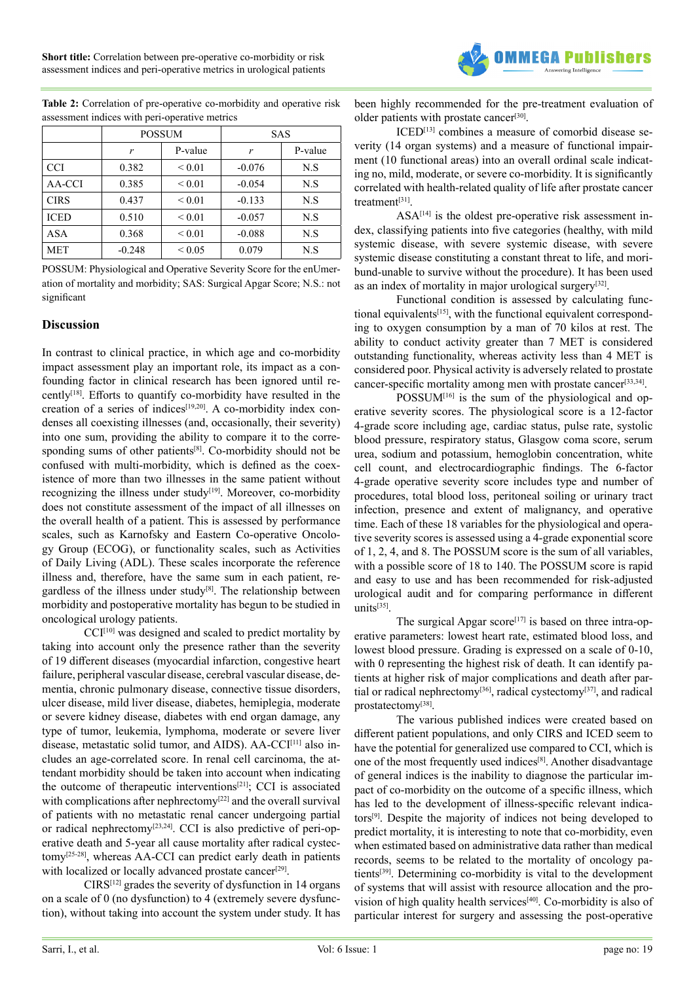

|             | <b>POSSUM</b> |             | <b>SAS</b> |         |
|-------------|---------------|-------------|------------|---------|
|             | r             | P-value     | r          | P-value |
| <b>CCI</b>  | 0.382         | ${}_{0.01}$ | $-0.076$   | N.S     |
| AA-CCI      | 0.385         | ${}_{0.01}$ | $-0.054$   | N.S     |
| <b>CIRS</b> | 0.437         | ${}_{0.01}$ | $-0.133$   | N.S     |
| <b>ICED</b> | 0.510         | ${}_{0.01}$ | $-0.057$   | N.S     |
| ASA         | 0.368         | ${}_{0.01}$ | $-0.088$   | N.S     |
| <b>MET</b>  | $-0.248$      | ${}< 0.05$  | 0.079      | N.S     |

**Table 2:** Correlation of pre-operative co-morbidity and operative risk assessment indices with peri-operative metrics

POSSUM: Physiological and Operative Severity Score for the enUmeration of mortality and morbidity; SAS: Surgical Apgar Score; N.S.: not significant

#### **Discussion**

In contrast to clinical practice, in which age and co-morbidity impact assessment play an important role, its impact as a confounding factor in clinical research has been ignored until recentl[y\[18\]](#page-3-14). Efforts to quantify co-morbidity have resulted in the creation of a series of indices<sup>[19,20]</sup>. A co-morbidity index condenses all coexisting illnesses (and, occasionally, their severity) into one sum, providing the ability to compare it to the corresponding sums of other patients<sup>[8]</sup>. Co-morbidity should not be confused with multi-morbidity, which is defined as the coexistence of more than two illnesses in the same patient without recognizing the illness under study<sup>[19]</sup>. Moreover, co-morbidity does not constitute assessment of the impact of all illnesses on the overall health of a patient. This is assessed by performance scales, such as Karnofsky and Eastern Co-operative Oncology Group (ECOG), or functionality scales, such as Activities of Daily Living (ADL). These scales incorporate the reference illness and, therefore, have the same sum in each patient, regardless of the illness under study<sup>[8]</sup>. The relationship between morbidity and postoperative mortality has begun to be studied in oncological urology patients.

CCI<sup>[\[10\]](#page-3-6)</sup> was designed and scaled to predict mortality by taking into account only the presence rather than the severity of 19 different diseases (myocardial infarction, congestive heart failure, peripheral vascular disease, cerebral vascular disease, dementia, chronic pulmonary disease, connective tissue disorders, ulcer disease, mild liver disease, diabetes, hemiplegia, moderate or severe kidney disease, diabetes with end organ damage, any type of tumor, leukemia, lymphoma, moderate or severe liver disease, metastatic solid tumor, and AIDS). AA-CCI[\[11\]](#page-3-7) also includes an age-correlated score. In renal cell carcinoma, the attendant morbidity should be taken into account when indicating the outcome of therapeutic interventions<sup>[21]</sup>; CCI is associated with complications after nephrectomy<sup>[\[22\]](#page-3-17)</sup> and the overall survival of patients with no metastatic renal cancer undergoing partial or radical nephrectomy[\[23,24\].](#page-3-18) CCI is also predictive of peri-operative death and 5-year all cause mortality after radical cystectomy[\[25-28\]](#page-4-0), whereas AA-CCI can predict early death in patients with localized or locally advanced prostate cancer<sup>[29]</sup>.

 $CIRS^{[12]}$  grades the severity of dysfunction in 14 organs on a scale of 0 (no dysfunction) to 4 (extremely severe dysfunction), without taking into account the system under study. It has been highly recommended for the pre-treatment evaluation of older patients with prostate cancer<sup>[30]</sup>.

ICED[\[13\]](#page-3-9) combines a measure of comorbid disease severity (14 organ systems) and a measure of functional impairment (10 functional areas) into an overall ordinal scale indicating no, mild, moderate, or severe co-morbidity. It is significantly correlated with health-related quality of life after prostate cancer treatmen[t\[31\]](#page-4-3).

 $ASA^{[14]}$  $ASA^{[14]}$  $ASA^{[14]}$  is the oldest pre-operative risk assessment index, classifying patients into five categories (healthy, with mild systemic disease, with severe systemic disease, with severe systemic disease constituting a constant threat to life, and moribund-unable to survive without the procedure). It has been used as an index of mortality in major urological surger[y\[32\].](#page-4-4)

Functional condition is assessed by calculating functional equivalents<sup>[15]</sup>, with the functional equivalent corresponding to oxygen consumption by a man of 70 kilos at rest. The ability to conduct activity greater than 7 MET is considered outstanding functionality, whereas activity less than 4 MET is considered poor. Physical activity is adversely related to prostate cancer-specific mortality among men with prostate cancer<sup>[\[33,34\]](#page-4-5)</sup>.

 $POSSUM^{[16]}$  $POSSUM^{[16]}$  $POSSUM^{[16]}$  is the sum of the physiological and operative severity scores. The physiological score is a 12-factor 4-grade score including age, cardiac status, pulse rate, systolic blood pressure, respiratory status, Glasgow coma score, serum urea, sodium and potassium, hemoglobin concentration, white cell count, and electrocardiographic findings. The 6-factor 4-grade operative severity score includes type and number of procedures, total blood loss, peritoneal soiling or urinary tract infection, presence and extent of malignancy, and operative time. Each of these 18 variables for the physiological and operative severity scores is assessed using a 4-grade exponential score of 1, 2, 4, and 8. The POSSUM score is the sum of all variables, with a possible score of 18 to 140. The POSSUM score is rapid and easy to use and has been recommended for risk-adjusted urological audit and for comparing performance in different units $\overline{^{[35]}}$ .

The surgical Apgar score<sup>[17]</sup> is based on three intra-operative parameters: lowest heart rate, estimated blood loss, and lowest blood pressure. Grading is expressed on a scale of 0-10, with 0 representing the highest risk of death. It can identify patients at higher risk of major complications and death after par-tial or radical nephrectomy<sup>[36]</sup>, radical cystectomy<sup>[\[37\]](#page-4-8)</sup>, and radical prostatectom[y\[38\]](#page-4-9).

The various published indices were created based on different patient populations, and only CIRS and ICED seem to have the potential for generalized use compared to CCI, which is one of the most frequently used indices[\[8\]](#page-3-5). Another disadvantage of general indices is the inability to diagnose the particular impact of co-morbidity on the outcome of a specific illness, which has led to the development of illness-specific relevant indicators[\[9\]](#page-3-19). Despite the majority of indices not being developed to predict mortality, it is interesting to note that co-morbidity, even when estimated based on administrative data rather than medical records, seems to be related to the mortality of oncology patient[s\[39\]](#page-4-10). Determining co-morbidity is vital to the development of systems that will assist with resource allocation and the provision of high quality health services<sup>[40]</sup>. Co-morbidity is also of particular interest for surgery and assessing the post-operative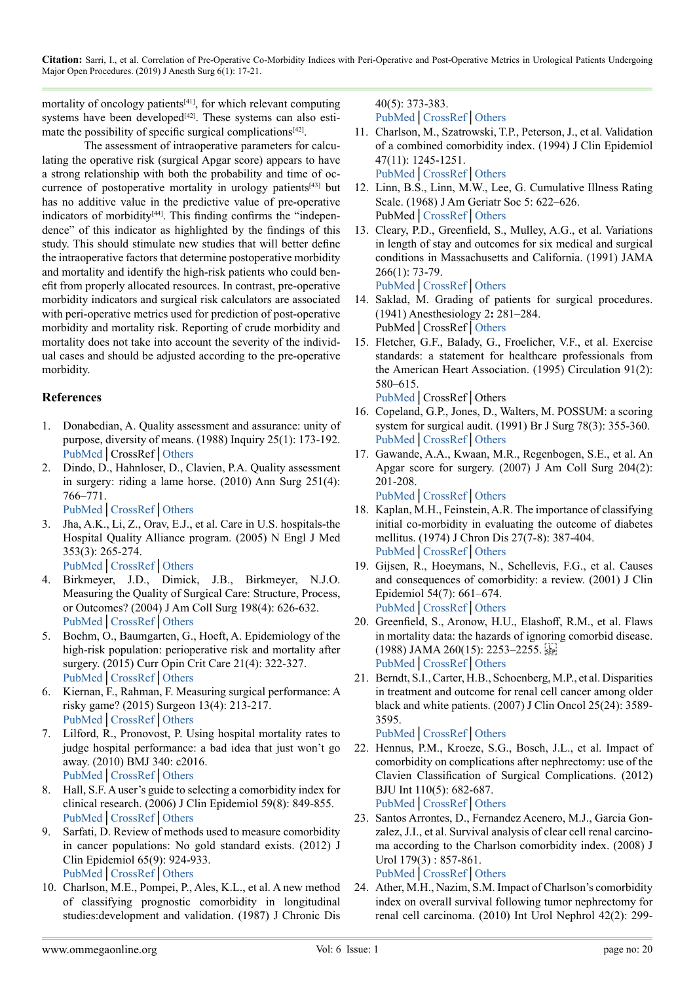**Citation:** Sarri, I., et al. Correlation of Pre-Operative Co-Morbidity Indices with Peri-Operative and Post-Operative Metrics in Urological Patients Undergoing Major Open Procedures. (2019) J Anesth Surg 6(1): 17-21.

mortality of oncology patient[s\[41\]](#page-4-12), for which relevant computing systems have been developed<sup>[42]</sup>. These systems can also esti-mate the possibility of specific surgical complications<sup>[\[42\]](#page-4-13)</sup>.

The assessment of intraoperative parameters for calculating the operative risk (surgical Apgar score) appears to have a strong relationship with both the probability and time of occurrence of postoperative mortality in urology patients<sup>[43]</sup> but has no additive value in the predictive value of pre-operative indicators of morbidity $[44]$ . This finding confirms the "independence" of this indicator as highlighted by the findings of this study. This should stimulate new studies that will better define the intraoperative factors that determine postoperative morbidity and mortality and identify the high-risk patients who could benefit from properly allocated resources. In contrast, pre-operative morbidity indicators and surgical risk calculators are associated with peri-operative metrics used for prediction of post-operative morbidity and mortality risk. Reporting of crude morbidity and mortality does not take into account the severity of the individual cases and should be adjusted according to the pre-operative morbidity.

### **References**

- <span id="page-3-0"></span>1. Donabedian, A. Quality assessment and assurance: unity of purpose, diversity of means. (1988) Inquiry 25(1): 173-192. [PubMed](https://www.ncbi.nlm.nih.gov/pubmed/2966122)│CrossRef│Others
- <span id="page-3-1"></span>2. Dindo, D., Hahnloser, D., Clavien, P.A. Quality assessment in surgery: riding a lame horse. (2010) Ann Surg 251(4): 766–771.
	- [PubMed](https://www.ncbi.nlm.nih.gov/pubmed/20224375)│[CrossRef](https://doi.org/10.1097/SLA.0b013e3181d0d211)│[Others](https://journals.lww.com/annalsofsurgery/Abstract/2010/04000/Quality_Assessment_in_Surgery__Riding_a_Lame_Horse.29.aspx)
- 3. Jha, A.K., Li, Z., Orav, E.J., et al. Care in U.S. hospitals-the Hospital Quality Alliance program. (2005) N Engl J Med 353(3): 265-274. [PubMed](https://www.ncbi.nlm.nih.gov/pubmed/16034012)│[CrossRef](https://doi.org/10.1056/NEJMsa051249)│[Others](https://www.nejm.org/doi/full/10.1056/NEJMsa051249)
- <span id="page-3-2"></span>4. Birkmeyer, J.D., Dimick, J.B., Birkmeyer, N.J.O. Measuring the Quality of Surgical Care: Structure, Process, or Outcomes? (2004) J Am Coll Surg 198(4): 626-632. [PubMed](https://www.ncbi.nlm.nih.gov/pubmed/15051016)│[CrossRef](https://doi.org/10.1016/j.jamcollsurg.2003.11.017)│[Others](http://www.globalsurgery.info/wp-content/uploads/2014/01/Birkmeyer_Measuring-the-Quality-of-Surgical-Care.pdf)
- <span id="page-3-3"></span>5. Boehm, O., Baumgarten, G., Hoeft, A. Epidemiology of the high-risk population: perioperative risk and mortality after surgery. (2015) Curr Opin Crit Care 21(4): 322-327. [PubMed](https://www.ncbi.nlm.nih.gov/pubmed/26126130)│[CrossRef](https://doi.org/10.1097/MCC.0000000000000221)│[Others](https://insights.ovid.com/pubmed?pmid=26126130)
- <span id="page-3-4"></span>6. Kiernan, F., Rahman, F. Measuring surgical performance: A risky game? (2015) Surgeon 13(4): 213-217. [PubMed](https://www.ncbi.nlm.nih.gov/pubmed/25638721)│[CrossRef](https://doi.org/10.1016/j.surge.2014.12.001)│[Others](https://www.sciencedirect.com/science/article/pii/S1479666X15000025)
- 7. Lilford, R., Pronovost, P. Using hospital mortality rates to judge hospital performance: a bad idea that just won't go away. (2010) BMJ 340: c2016. [PubMed](https://www.ncbi.nlm.nih.gov/pubmed/20406861)│[CrossRef](https://doi.org/10.1136/bmj.c2016)│[Others](https://www.bmj.com/content/340/bmj.c2016)
- <span id="page-3-5"></span>8. Hall, S.F. A user's guide to selecting a comorbidity index for clinical research. (2006) J Clin Epidemiol 59(8): 849-855. PubMed│[CrossRef](https://doi.org/10.1016/j.jclinepi.2005.11.013)│[Others](https://www.sciencedirect.com/science/article/pii/S0895435605004361)
- <span id="page-3-19"></span>9. Sarfati, D. Review of methods used to measure comorbidity in cancer populations: No gold standard exists. (2012) J Clin Epidemiol 65(9): 924-933. [PubMed](https://www.ncbi.nlm.nih.gov/pubmed/22739245)│[CrossRef](https://doi.org/10.1016/j.jclinepi.2012.02.017)│Others
- <span id="page-3-6"></span>10. Charlson, M.E., Pompei, P., Ales, K.L., et al. A new method of classifying prognostic comorbidity in longitudinal studies:development and validation. (1987) J Chronic Dis

<span id="page-3-7"></span>40(5): 373-383. PubMed│[CrossRef](https://doi.org/10.1016/0021-9681(87)90171-8)│[Others](https://www.sciencedirect.com/science/article/pii/0021968187901718)

- 11. Charlson, M., Szatrowski, T.P., Peterson, J., et al. Validation of a combined comorbidity index. (1994) J Clin Epidemiol 47(11): 1245-1251. [PubMed](https://www.ncbi.nlm.nih.gov/pubmed/7722560)│[CrossRef](https://doi.org/10.1016/0895-4356(94)90129-5)│Others
- <span id="page-3-8"></span>12. Linn, B.S., Linn, M.W., Lee, G. Cumulative Illness Rating Scale. (1968) J Am Geriatr Soc 5: 622–626. PubMed│[CrossRef](https://doi.org/10.1111/j.1532-5415.1968.tb02103.x)│[Others](https://onlinelibrary.wiley.com/doi/abs/10.1111/j.1532-5415.1968.tb02103.x)
- <span id="page-3-9"></span>13. Cleary, P.D., Greenfield, S., Mulley, A.G., et al. Variations in length of stay and outcomes for six medical and surgical conditions in Massachusetts and California. (1991) JAMA 266(1): 73-79.

<span id="page-3-10"></span>[PubMed](https://www.ncbi.nlm.nih.gov/pubmed/2046132)│[CrossRef](https://doi.org/10.1001/jama.1991.03470010077034)│[Others](https://jamanetwork.com/journals/jama/article-abstract/386380)

- 14. Saklad, M. Grading of patients for surgical procedures. (1941) Anesthesiology 2**:** 281–284. PubMed│CrossRef│[Others](http://anesthesiology.pubs.asahq.org/article.aspx?articleid=1973837)
- <span id="page-3-11"></span>15. Fletcher, G.F., Balady, G., Froelicher, V.F., et al. Exercise standards: a statement for healthcare professionals from the American Heart Association. (1995) Circulation 91(2): 580–615.

<span id="page-3-12"></span>[PubMed](https://www.ncbi.nlm.nih.gov/pubmed/7805272)│CrossRef│Others

- 16. Copeland, G.P., Jones, D., Walters, M. POSSUM: a scoring system for surgical audit. (1991) Br J Surg 78(3): 355-360. [PubMed](https://www.ncbi.nlm.nih.gov/pubmed/2021856)│[CrossRef](https://doi.org/10.1002/bjs.1800780327)│[Others](https://onlinelibrary.wiley.com/doi/abs/10.1002/bjs.1800780327?sid=nlm%3Apubmed)
- <span id="page-3-13"></span>17. Gawande, A.A., Kwaan, M.R., Regenbogen, S.E., et al. An Apgar score for surgery. (2007) J Am Coll Surg 204(2): 201-208. [PubMed](https://www.ncbi.nlm.nih.gov/pubmed/17254923)│[CrossRef](https://doi.org/10.1016/j.jamcollsurg.2006.11.011)│[Others](http://www.atulgawande.com/documents/AnApgarScoreforSurgery.pdf)

<span id="page-3-14"></span>18. Kaplan, M.H., Feinstein, A.R. The importance of classifying initial co-morbidity in evaluating the outcome of diabetes mellitus. (1974) J Chron Dis 27(7-8): 387-404. [PubMed](https://www.ncbi.nlm.nih.gov/pubmed/4436428)│[CrossRef](https://doi.org/10.1016/0021-9681(74)90017-4)│[Others](https://www.sciencedirect.com/science/article/pii/0021968174900174)

- <span id="page-3-15"></span>19. Gijsen, R., Hoeymans, N., Schellevis, F.G., et al. Causes and consequences of comorbidity: a review. (2001) J Clin Epidemiol 54(7): 661–674. [PubMed](https://www.ncbi.nlm.nih.gov/pubmed/11438406)│[CrossRef](https://doi.org/10.1016/S0895-4356(00)00363-2)│[Others](https://www.sciencedirect.com/science/article/pii/S0895435600003632)
- 20. Greenfield, S., Aronow, H.U., Elashoff, R.M., et al. Flaws in mortality data: the hazards of ignoring comorbid disease. (1988) JAMA 260(15): 2253–2255. [PubMed](https://www.ncbi.nlm.nih.gov/pubmed/3172404)│[CrossRef](https://doi.org/10.1001/jama.1988.03410150101039)│[Others](https://jamanetwork.com/journals/jama/article-abstract/374580)
- <span id="page-3-16"></span>21. Berndt, S.I., Carter, H.B., Schoenberg, M.P., et al. Disparities in treatment and outcome for renal cell cancer among older black and white patients. (2007) J Clin Oncol 25(24): 3589- 3595.

<span id="page-3-17"></span>[PubMed](https://www.ncbi.nlm.nih.gov/pubmed/17704406)│[CrossRef](https://doi.org/10.1200/JCO.2006.10.0156)│[Others](https://ascopubs.org/doi/full/10.1200/JCO.2006.10.0156?url_ver=Z39.88-2003&rfr_id=ori%3Arid%3Acrossref.org&rfr_dat=cr_pub%3Dpubmed)

- 22. Hennus, P.M., Kroeze, S.G., Bosch, J.L., et al. Impact of comorbidity on complications after nephrectomy: use of the Clavien Classification of Surgical Complications. (2012) BJU Int 110(5): 682-687. [PubMed](https://www.ncbi.nlm.nih.gov/pubmed/22432906)│[CrossRef](https://doi.org/10.1111/j.1464-410X.2011.10889.x)│[Others](https://onlinelibrary.wiley.com/doi/full/10.1111/j.1464-410X.2011.10889.x)
- <span id="page-3-18"></span>23. Santos Arrontes, D., Fernandez Acenero, M.J., Garcia Gonzalez, J.I., et al. Survival analysis of clear cell renal carcinoma according to the Charlson comorbidity index. (2008) J Urol 179(3) : 857-861. [PubMed](https://www.ncbi.nlm.nih.gov/pubmed/18221956)│[CrossRef](https://doi.org/10.1016/j.juro.2007.10.048)│[Others](https://www.auajournals.org/doi/10.1016/j.juro.2007.10.048)
- 24. Ather, M.H., Nazim, S.M. Impact of Charlson's comorbidity index on overall survival following tumor nephrectomy for renal cell carcinoma. (2010) Int Urol Nephrol 42(2): 299-